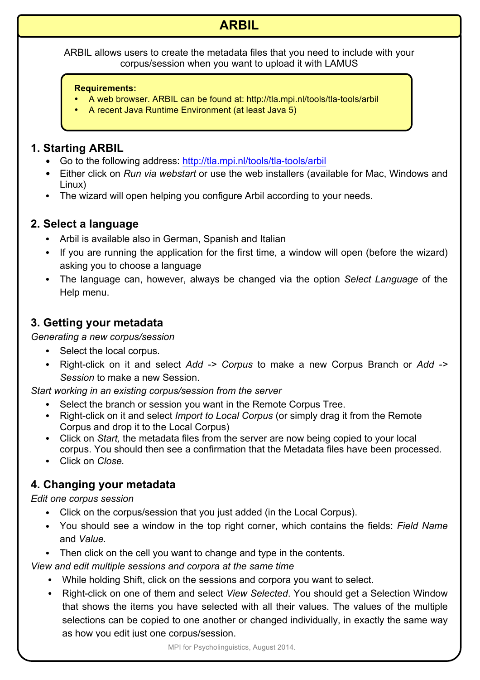# **ARBIL**

ARBIL allows users to create the metadata files that you need to include with your corpus/session when you want to upload it with LAMUS

#### **Requirements:**

- A web browser. ARBIL can be found at: http://tla.mpi.nl/tools/tla-tools/arbil
- A recent Java Runtime Environment (at least Java 5)

#### **1. Starting ARBIL**

- Go to the following address: http://tla.mpi.nl/tools/tla-tools/arbil
- Either click on *Run via webstart* or use the web installers (available for Mac, Windows and Linux)
- The wizard will open helping you configure Arbil according to your needs.

### **2. Select a language**

- Arbil is available also in German, Spanish and Italian
- If you are running the application for the first time, a window will open (before the wizard) asking you to choose a language
- The language can, however, always be changed via the option *Select Language* of the Help menu.

### **3. Getting your metadata**

*Generating a new corpus/session*

- Select the local corpus.
- Right-click on it and select *Add -> Corpus* to make a new Corpus Branch or *Add -> Session* to make a new Session.

*Start working in an existing corpus/session from the server*

- Select the branch or session you want in the Remote Corpus Tree.
- Right-click on it and select *Import to Local Corpus* (or simply drag it from the Remote Corpus and drop it to the Local Corpus)
- Click on *Start,* the metadata files from the server are now being copied to your local corpus. You should then see a confirmation that the Metadata files have been processed.
- Click on *Close.*

## **4. Changing your metadata**

*Edit one corpus session*

- Click on the corpus/session that you just added (in the Local Corpus).
- You should see a window in the top right corner, which contains the fields: *Field Name*  and *Value.*
- Then click on the cell you want to change and type in the contents.

*View and edit multiple sessions and corpora at the same time*

- While holding Shift, click on the sessions and corpora you want to select.
- Right-click on one of them and select *View Selected*. You should get a Selection Window that shows the items you have selected with all their values. The values of the multiple selections can be copied to one another or changed individually, in exactly the same way as how you edit just one corpus/session.